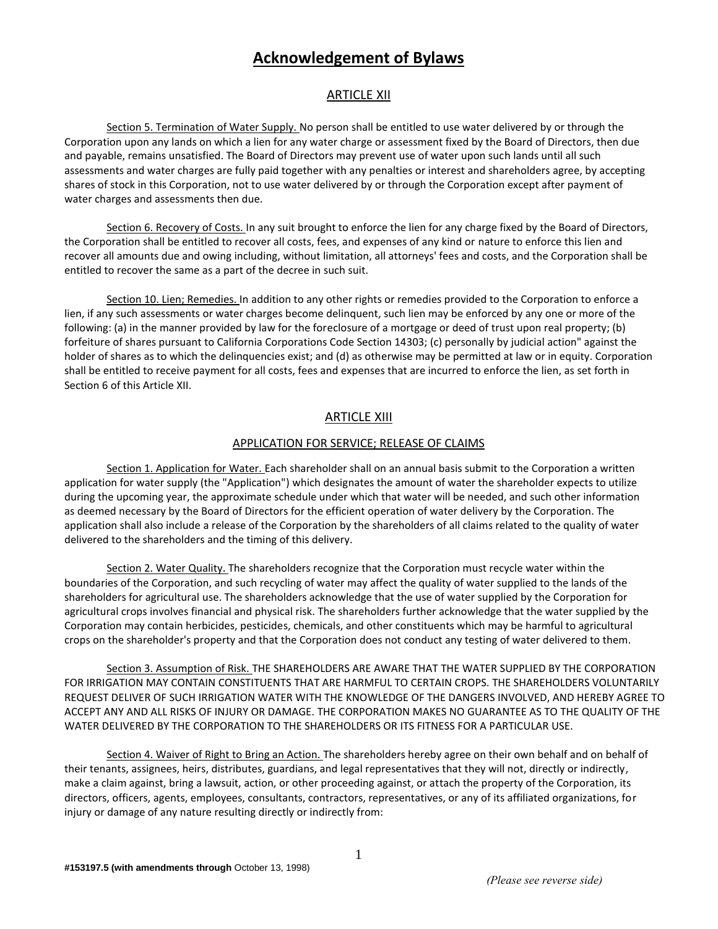## **Acknowledgement of Bylaws**

## ARTICLE XII

Section 5. Termination of Water Supply. No person shall be entitled to use water delivered by or through the Corporation upon any lands on which a lien for any water charge or assessment fixed by the Board of Directors, then due and payable, remains unsatisfied. The Board of Directors may prevent use of water upon such lands until all such assessments and water charges are fully paid together with any penalties or interest and shareholders agree, by accepting shares of stock in this Corporation, not to use water delivered by or through the Corporation except after payment of water charges and assessments then due.

Section 6. Recovery of Costs. In any suit brought to enforce the lien for any charge fixed by the Board of Directors, the Corporation shall be entitled to recover all costs, fees, and expenses of any kind or nature to enforce this lien and recover all amounts due and owing including, without limitation, all attorneys' fees and costs, and the Corporation shall be entitled to recover the same as a part of the decree in such suit.

Section 10. Lien; Remedies. In addition to any other rights or remedies provided to the Corporation to enforce a lien, if any such assessments or water charges become delinquent, such lien may be enforced by any one or more of the following: (a) in the manner provided by law for the foreclosure of a mortgage or deed of trust upon real property; (b) forfeiture of shares pursuant to California Corporations Code Section 14303; (c) personally by judicial action" against the holder of shares as to which the delinquencies exist; and (d) as otherwise may be permitted at law or in equity. Corporation shall be entitled to receive payment for all costs, fees and expenses that are incurred to enforce the lien, as set forth in Section 6 of this Article XII.

## ARTICLE XIII

## APPLICATION FOR SERVICE; RELEASE OF CLAIMS

Section 1. Application for Water. Each shareholder shall on an annual basis submit to the Corporation a written application for water supply (the "Application") which designates the amount of water the shareholder expects to utilize during the upcoming year, the approximate schedule under which that water will be needed, and such other information as deemed necessary by the Board of Directors for the efficient operation of water delivery by the Corporation. The application shall also include a release of the Corporation by the shareholders of all claims related to the quality of water delivered to the shareholders and the timing of this delivery.

Section 2. Water Quality. The shareholders recognize that the Corporation must recycle water within the boundaries of the Corporation, and such recycling of water may affect the quality of water supplied to the lands of the shareholders for agricultural use. The shareholders acknowledge that the use of water supplied by the Corporation for agricultural crops involves financial and physical risk. The shareholders further acknowledge that the water supplied by the Corporation may contain herbicides, pesticides, chemicals, and other constituents which may be harmful to agricultural crops on the shareholder's property and that the Corporation does not conduct any testing of water delivered to them.

Section 3. Assumption of Risk. THE SHAREHOLDERS ARE AWARE THAT THE WATER SUPPLIED BY THE CORPORATION FOR IRRIGATION MAY CONTAIN CONSTITUENTS THAT ARE HARMFUL TO CERTAIN CROPS. THE SHAREHOLDERS VOLUNTARILY REQUEST DELIVER OF SUCH IRRIGATION WATER WITH THE KNOWLEDGE OF THE DANGERS INVOLVED, AND HEREBY AGREE TO ACCEPT ANY AND ALL RISKS OF INJURY OR DAMAGE. THE CORPORATION MAKES NO GUARANTEE AS TO THE QUALITY OF THE WATER DELIVERED BY THE CORPORATION TO THE SHAREHOLDERS OR ITS FITNESS FOR A PARTICULAR USE.

Section 4. Waiver of Right to Bring an Action. The shareholders hereby agree on their own behalf and on behalf of their tenants, assignees, heirs, distributes, guardians, and legal representatives that they will not, directly or indirectly, make a claim against, bring a lawsuit, action, or other proceeding against, or attach the property of the Corporation, its directors, officers, agents, employees, consultants, contractors, representatives, or any of its affiliated organizations, for injury or damage of any nature resulting directly or indirectly from: